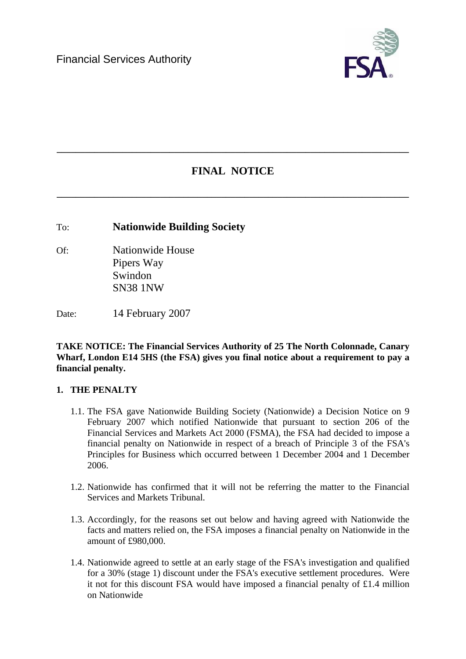

# **FINAL NOTICE**

**\_\_\_\_\_\_\_\_\_\_\_\_\_\_\_\_\_\_\_\_\_\_\_\_\_\_\_\_\_\_\_\_\_\_\_\_\_\_\_\_\_\_\_\_\_\_\_\_\_\_\_\_\_\_\_\_\_\_\_\_\_\_\_\_\_\_\_\_\_\_\_\_\_\_\_** 

**\_\_\_\_\_\_\_\_\_\_\_\_\_\_\_\_\_\_\_\_\_\_\_\_\_\_\_\_\_\_\_\_\_\_\_\_\_\_\_\_\_\_\_\_\_\_\_\_\_\_\_\_\_\_\_\_\_\_\_\_\_\_\_\_\_\_\_\_\_\_\_\_\_\_\_** 

## To: **Nationwide Building Society**

Of:Nationwide House Pipers Way Swindon SN38 1NW

Date: 14 February 2007

**TAKE NOTICE: The Financial Services Authority of 25 The North Colonnade, Canary Wharf, London E14 5HS (the FSA) gives you final notice about a requirement to pay a financial penalty.** 

### **1. THE PENALTY**

- 1.1. The FSA gave Nationwide Building Society (Nationwide) a Decision Notice on 9 February 2007 which notified Nationwide that pursuant to section 206 of the Financial Services and Markets Act 2000 (FSMA), the FSA had decided to impose a financial penalty on Nationwide in respect of a breach of Principle 3 of the FSA's Principles for Business which occurred between 1 December 2004 and 1 December 2006.
- 1.2. Nationwide has confirmed that it will not be referring the matter to the Financial Services and Markets Tribunal.
- 1.3. Accordingly, for the reasons set out below and having agreed with Nationwide the facts and matters relied on, the FSA imposes a financial penalty on Nationwide in the amount of £980,000.
- 1.4. Nationwide agreed to settle at an early stage of the FSA's investigation and qualified for a 30% (stage 1) discount under the FSA's executive settlement procedures. Were it not for this discount FSA would have imposed a financial penalty of £1.4 million on Nationwide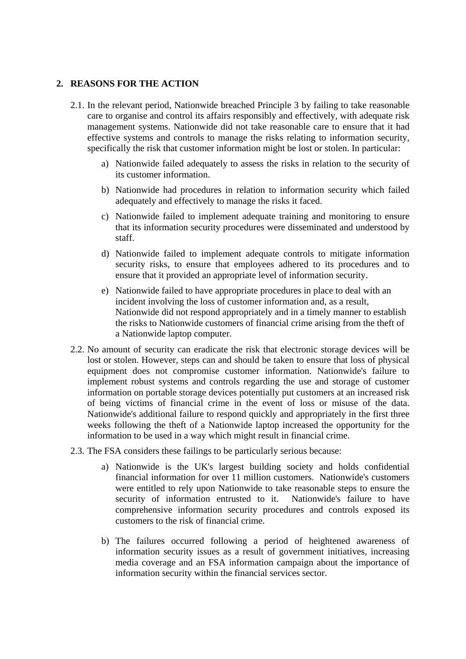### **2. REASONS FOR THE ACTION**

- 2.1. In the relevant period, Nationwide breached Principle 3 by failing to take reasonable care to organise and control its affairs responsibly and effectively, with adequate risk management systems. Nationwide did not take reasonable care to ensure that it had effective systems and controls to manage the risks relating to information security, specifically the risk that customer information might be lost or stolen. In particular:
	- a) Nationwide failed adequately to assess the risks in relation to the security of its customer information.
	- b) Nationwide had procedures in relation to information security which failed adequately and effectively to manage the risks it faced.
	- c) Nationwide failed to implement adequate training and monitoring to ensure that its information security procedures were disseminated and understood by staff.
	- d) Nationwide failed to implement adequate controls to mitigate information security risks, to ensure that employees adhered to its procedures and to ensure that it provided an appropriate level of information security.
	- e) Nationwide failed to have appropriate procedures in place to deal with an incident involving the loss of customer information and, as a result, Nationwide did not respond appropriately and in a timely manner to establish the risks to Nationwide customers of financial crime arising from the theft of a Nationwide laptop computer.
- 2.2. No amount of security can eradicate the risk that electronic storage devices will be lost or stolen. However, steps can and should be taken to ensure that loss of physical equipment does not compromise customer information. Nationwide's failure to implement robust systems and controls regarding the use and storage of customer information on portable storage devices potentially put customers at an increased risk of being victims of financial crime in the event of loss or misuse of the data. Nationwide's additional failure to respond quickly and appropriately in the first three weeks following the theft of a Nationwide laptop increased the opportunity for the information to be used in a way which might result in financial crime.
- 2.3. The FSA considers these failings to be particularly serious because:
	- a) Nationwide is the UK's largest building society and holds confidential financial information for over 11 million customers. Nationwide's customers were entitled to rely upon Nationwide to take reasonable steps to ensure the security of information entrusted to it. Nationwide's failure to have comprehensive information security procedures and controls exposed its customers to the risk of financial crime.
	- b) The failures occurred following a period of heightened awareness of information security issues as a result of government initiatives, increasing media coverage and an FSA information campaign about the importance of information security within the financial services sector.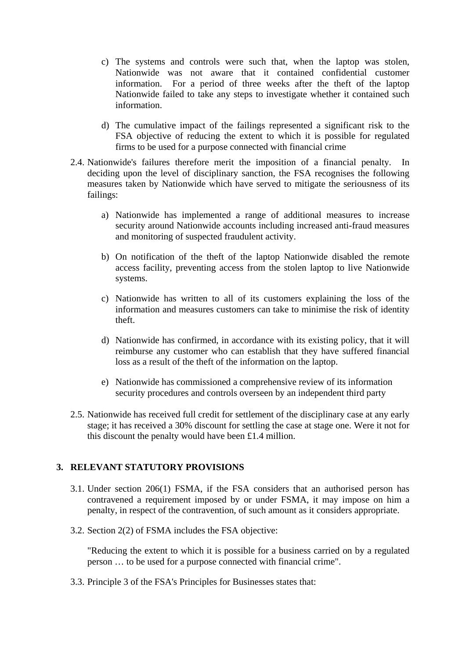- c) The systems and controls were such that, when the laptop was stolen, Nationwide was not aware that it contained confidential customer information. For a period of three weeks after the theft of the laptop Nationwide failed to take any steps to investigate whether it contained such information.
- d) The cumulative impact of the failings represented a significant risk to the FSA objective of reducing the extent to which it is possible for regulated firms to be used for a purpose connected with financial crime
- 2.4. Nationwide's failures therefore merit the imposition of a financial penalty. In deciding upon the level of disciplinary sanction, the FSA recognises the following measures taken by Nationwide which have served to mitigate the seriousness of its failings:
	- a) Nationwide has implemented a range of additional measures to increase security around Nationwide accounts including increased anti-fraud measures and monitoring of suspected fraudulent activity.
	- b) On notification of the theft of the laptop Nationwide disabled the remote access facility, preventing access from the stolen laptop to live Nationwide systems.
	- c) Nationwide has written to all of its customers explaining the loss of the information and measures customers can take to minimise the risk of identity theft.
	- d) Nationwide has confirmed, in accordance with its existing policy, that it will reimburse any customer who can establish that they have suffered financial loss as a result of the theft of the information on the laptop.
	- e) Nationwide has commissioned a comprehensive review of its information security procedures and controls overseen by an independent third party
- 2.5. Nationwide has received full credit for settlement of the disciplinary case at any early stage; it has received a 30% discount for settling the case at stage one. Were it not for this discount the penalty would have been £1.4 million.

### **3. RELEVANT STATUTORY PROVISIONS**

- 3.1. Under section 206(1) FSMA, if the FSA considers that an authorised person has contravened a requirement imposed by or under FSMA, it may impose on him a penalty, in respect of the contravention, of such amount as it considers appropriate.
- 3.2. Section 2(2) of FSMA includes the FSA objective:

"Reducing the extent to which it is possible for a business carried on by a regulated person … to be used for a purpose connected with financial crime".

3.3. Principle 3 of the FSA's Principles for Businesses states that: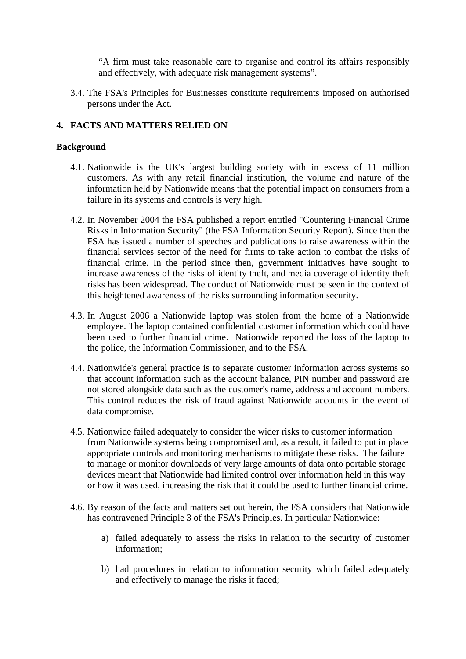"A firm must take reasonable care to organise and control its affairs responsibly and effectively, with adequate risk management systems".

3.4. The FSA's Principles for Businesses constitute requirements imposed on authorised persons under the Act.

### **4. FACTS AND MATTERS RELIED ON**

### **Background**

- 4.1. Nationwide is the UK's largest building society with in excess of 11 million customers. As with any retail financial institution, the volume and nature of the information held by Nationwide means that the potential impact on consumers from a failure in its systems and controls is very high.
- 4.2. In November 2004 the FSA published a report entitled "Countering Financial Crime Risks in Information Security" (the FSA Information Security Report). Since then the FSA has issued a number of speeches and publications to raise awareness within the financial services sector of the need for firms to take action to combat the risks of financial crime. In the period since then, government initiatives have sought to increase awareness of the risks of identity theft, and media coverage of identity theft risks has been widespread. The conduct of Nationwide must be seen in the context of this heightened awareness of the risks surrounding information security.
- 4.3. In August 2006 a Nationwide laptop was stolen from the home of a Nationwide employee. The laptop contained confidential customer information which could have been used to further financial crime. Nationwide reported the loss of the laptop to the police, the Information Commissioner, and to the FSA.
- 4.4. Nationwide's general practice is to separate customer information across systems so that account information such as the account balance, PIN number and password are not stored alongside data such as the customer's name, address and account numbers. This control reduces the risk of fraud against Nationwide accounts in the event of data compromise.
- 4.5. Nationwide failed adequately to consider the wider risks to customer information from Nationwide systems being compromised and, as a result, it failed to put in place appropriate controls and monitoring mechanisms to mitigate these risks. The failure to manage or monitor downloads of very large amounts of data onto portable storage devices meant that Nationwide had limited control over information held in this way or how it was used, increasing the risk that it could be used to further financial crime.
- 4.6. By reason of the facts and matters set out herein, the FSA considers that Nationwide has contravened Principle 3 of the FSA's Principles. In particular Nationwide:
	- a) failed adequately to assess the risks in relation to the security of customer information;
	- b) had procedures in relation to information security which failed adequately and effectively to manage the risks it faced;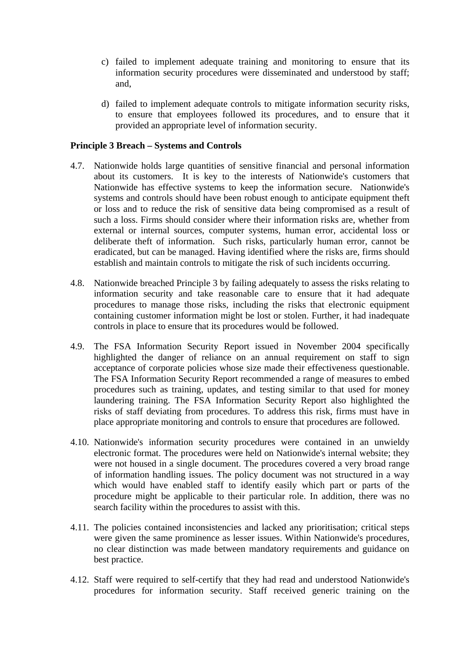- c) failed to implement adequate training and monitoring to ensure that its information security procedures were disseminated and understood by staff; and,
- d) failed to implement adequate controls to mitigate information security risks, to ensure that employees followed its procedures, and to ensure that it provided an appropriate level of information security.

#### **Principle 3 Breach – Systems and Controls**

- 4.7. Nationwide holds large quantities of sensitive financial and personal information about its customers. It is key to the interests of Nationwide's customers that Nationwide has effective systems to keep the information secure. Nationwide's systems and controls should have been robust enough to anticipate equipment theft or loss and to reduce the risk of sensitive data being compromised as a result of such a loss. Firms should consider where their information risks are, whether from external or internal sources, computer systems, human error, accidental loss or deliberate theft of information. Such risks, particularly human error, cannot be eradicated, but can be managed. Having identified where the risks are, firms should establish and maintain controls to mitigate the risk of such incidents occurring.
- 4.8. Nationwide breached Principle 3 by failing adequately to assess the risks relating to information security and take reasonable care to ensure that it had adequate procedures to manage those risks, including the risks that electronic equipment containing customer information might be lost or stolen. Further, it had inadequate controls in place to ensure that its procedures would be followed.
- 4.9. The FSA Information Security Report issued in November 2004 specifically highlighted the danger of reliance on an annual requirement on staff to sign acceptance of corporate policies whose size made their effectiveness questionable. The FSA Information Security Report recommended a range of measures to embed procedures such as training, updates, and testing similar to that used for money laundering training. The FSA Information Security Report also highlighted the risks of staff deviating from procedures. To address this risk, firms must have in place appropriate monitoring and controls to ensure that procedures are followed.
- 4.10. Nationwide's information security procedures were contained in an unwieldy electronic format. The procedures were held on Nationwide's internal website; they were not housed in a single document. The procedures covered a very broad range of information handling issues. The policy document was not structured in a way which would have enabled staff to identify easily which part or parts of the procedure might be applicable to their particular role. In addition, there was no search facility within the procedures to assist with this.
- 4.11. The policies contained inconsistencies and lacked any prioritisation; critical steps were given the same prominence as lesser issues. Within Nationwide's procedures, no clear distinction was made between mandatory requirements and guidance on best practice.
- 4.12. Staff were required to self-certify that they had read and understood Nationwide's procedures for information security. Staff received generic training on the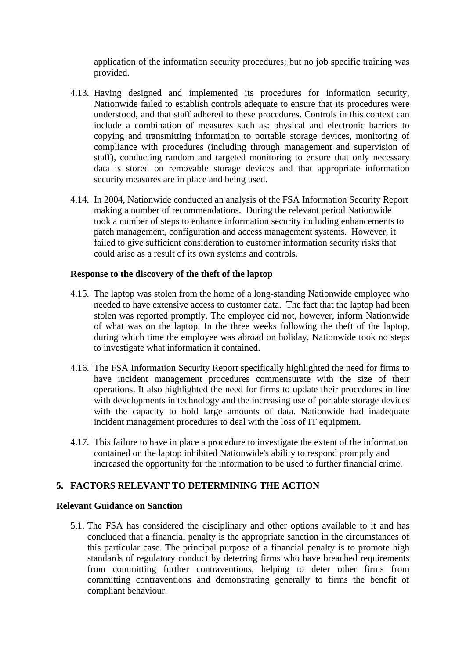application of the information security procedures; but no job specific training was provided.

- 4.13. Having designed and implemented its procedures for information security, Nationwide failed to establish controls adequate to ensure that its procedures were understood, and that staff adhered to these procedures. Controls in this context can include a combination of measures such as: physical and electronic barriers to copying and transmitting information to portable storage devices, monitoring of compliance with procedures (including through management and supervision of staff), conducting random and targeted monitoring to ensure that only necessary data is stored on removable storage devices and that appropriate information security measures are in place and being used.
- 4.14. In 2004, Nationwide conducted an analysis of the FSA Information Security Report making a number of recommendations. During the relevant period Nationwide took a number of steps to enhance information security including enhancements to patch management, configuration and access management systems. However, it failed to give sufficient consideration to customer information security risks that could arise as a result of its own systems and controls.

### **Response to the discovery of the theft of the laptop**

- 4.15. The laptop was stolen from the home of a long-standing Nationwide employee who needed to have extensive access to customer data. The fact that the laptop had been stolen was reported promptly. The employee did not, however, inform Nationwide of what was on the laptop. In the three weeks following the theft of the laptop, during which time the employee was abroad on holiday, Nationwide took no steps to investigate what information it contained.
- 4.16. The FSA Information Security Report specifically highlighted the need for firms to have incident management procedures commensurate with the size of their operations. It also highlighted the need for firms to update their procedures in line with developments in technology and the increasing use of portable storage devices with the capacity to hold large amounts of data. Nationwide had inadequate incident management procedures to deal with the loss of IT equipment.
- 4.17. This failure to have in place a procedure to investigate the extent of the information contained on the laptop inhibited Nationwide's ability to respond promptly and increased the opportunity for the information to be used to further financial crime.

### **5. FACTORS RELEVANT TO DETERMINING THE ACTION**

### **Relevant Guidance on Sanction**

5.1. The FSA has considered the disciplinary and other options available to it and has concluded that a financial penalty is the appropriate sanction in the circumstances of this particular case. The principal purpose of a financial penalty is to promote high standards of regulatory conduct by deterring firms who have breached requirements from committing further contraventions, helping to deter other firms from committing contraventions and demonstrating generally to firms the benefit of compliant behaviour.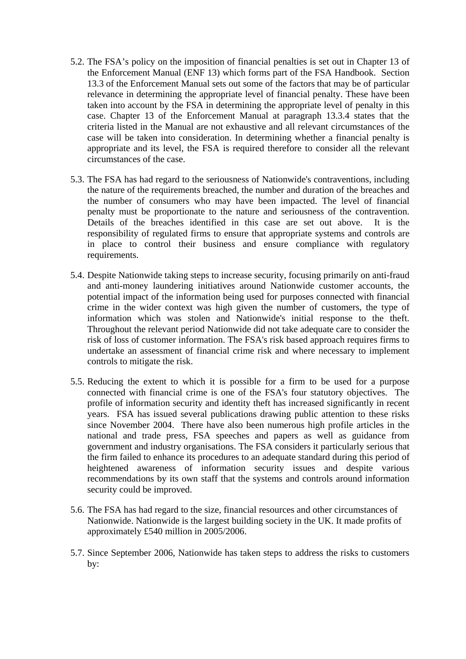- 5.2. The FSA's policy on the imposition of financial penalties is set out in Chapter 13 of the Enforcement Manual (ENF 13) which forms part of the FSA Handbook. Section 13.3 of the Enforcement Manual sets out some of the factors that may be of particular relevance in determining the appropriate level of financial penalty. These have been taken into account by the FSA in determining the appropriate level of penalty in this case. Chapter 13 of the Enforcement Manual at paragraph 13.3.4 states that the criteria listed in the Manual are not exhaustive and all relevant circumstances of the case will be taken into consideration. In determining whether a financial penalty is appropriate and its level, the FSA is required therefore to consider all the relevant circumstances of the case.
- 5.3. The FSA has had regard to the seriousness of Nationwide's contraventions, including the nature of the requirements breached, the number and duration of the breaches and the number of consumers who may have been impacted. The level of financial penalty must be proportionate to the nature and seriousness of the contravention. Details of the breaches identified in this case are set out above. It is the responsibility of regulated firms to ensure that appropriate systems and controls are in place to control their business and ensure compliance with regulatory requirements.
- 5.4. Despite Nationwide taking steps to increase security, focusing primarily on anti-fraud and anti-money laundering initiatives around Nationwide customer accounts, the potential impact of the information being used for purposes connected with financial crime in the wider context was high given the number of customers, the type of information which was stolen and Nationwide's initial response to the theft. Throughout the relevant period Nationwide did not take adequate care to consider the risk of loss of customer information. The FSA's risk based approach requires firms to undertake an assessment of financial crime risk and where necessary to implement controls to mitigate the risk.
- 5.5. Reducing the extent to which it is possible for a firm to be used for a purpose connected with financial crime is one of the FSA's four statutory objectives. The profile of information security and identity theft has increased significantly in recent years. FSA has issued several publications drawing public attention to these risks since November 2004. There have also been numerous high profile articles in the national and trade press, FSA speeches and papers as well as guidance from government and industry organisations. The FSA considers it particularly serious that the firm failed to enhance its procedures to an adequate standard during this period of heightened awareness of information security issues and despite various recommendations by its own staff that the systems and controls around information security could be improved.
- 5.6. The FSA has had regard to the size, financial resources and other circumstances of Nationwide. Nationwide is the largest building society in the UK. It made profits of approximately £540 million in 2005/2006.
- 5.7. Since September 2006, Nationwide has taken steps to address the risks to customers by: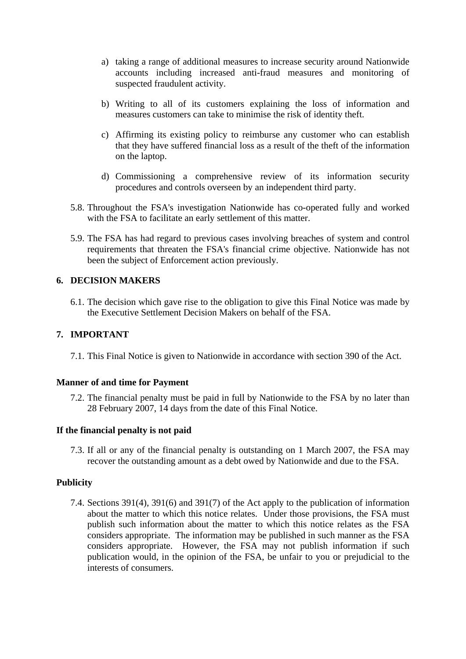- a) taking a range of additional measures to increase security around Nationwide accounts including increased anti-fraud measures and monitoring of suspected fraudulent activity.
- b) Writing to all of its customers explaining the loss of information and measures customers can take to minimise the risk of identity theft.
- c) Affirming its existing policy to reimburse any customer who can establish that they have suffered financial loss as a result of the theft of the information on the laptop.
- d) Commissioning a comprehensive review of its information security procedures and controls overseen by an independent third party.
- 5.8. Throughout the FSA's investigation Nationwide has co-operated fully and worked with the FSA to facilitate an early settlement of this matter.
- 5.9. The FSA has had regard to previous cases involving breaches of system and control requirements that threaten the FSA's financial crime objective. Nationwide has not been the subject of Enforcement action previously.

### **6. DECISION MAKERS**

6.1. The decision which gave rise to the obligation to give this Final Notice was made by the Executive Settlement Decision Makers on behalf of the FSA.

### **7. IMPORTANT**

7.1. This Final Notice is given to Nationwide in accordance with section 390 of the Act.

#### **Manner of and time for Payment**

7.2. The financial penalty must be paid in full by Nationwide to the FSA by no later than 28 February 2007, 14 days from the date of this Final Notice.

### **If the financial penalty is not paid**

7.3. If all or any of the financial penalty is outstanding on 1 March 2007, the FSA may recover the outstanding amount as a debt owed by Nationwide and due to the FSA.

#### **Publicity**

7.4. Sections 391(4), 391(6) and 391(7) of the Act apply to the publication of information about the matter to which this notice relates. Under those provisions, the FSA must publish such information about the matter to which this notice relates as the FSA considers appropriate. The information may be published in such manner as the FSA considers appropriate. However, the FSA may not publish information if such publication would, in the opinion of the FSA, be unfair to you or prejudicial to the interests of consumers.